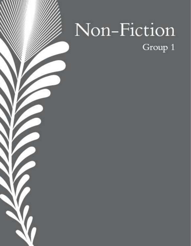# Non-Fiction Group 1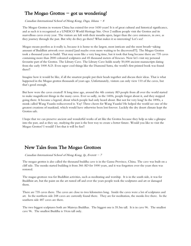# The Mogao Grottos  $-$  got us wondering!

#### Canadian International School of Hong Kong, Daga, Ishana  $-8$

The Mogao Grottos in western China has existed for over 1650 years! It is of great cultural and historical significance, and as such it is recognized as a UNESCO World Heritage Site. Over 2 million people visit the Grottos and its marvellous caves every year. The visitors are left with their mouths open, larger than the cave entrances, in awe, as they journey through the past. But why do they go there? What makes it so interesting? Let's see!

Mogao means peerless as it really is, because it is home to the largest, most intricate and the most breath-taking amount of Buddhist artwork ever created [and maybe even more waiting to be discovered!!!]. The Mogao Grottos took a thousand years to build. That may seem like a very long time, but it took that long because there are 735 caves containing more than 2000 coloured sculptures and 45 thousand meters of frescoes. Now let's visit my personal favourite part of the Grottos. The Library Cave. The Library Cave holds nearly 50,000 ancient manuscripts dating from the early 1000 A.D. Even super cool things like the Diamond Sutra, the world's first printed book was found there!!

Imagine how it would be like, if all the smartest people put their heads together and discuss their ideas. That is what happened in the Mogao grottos thousands of years ago. Unfortunately, visitors can only view 110 of the caves, but that's good enough.

But how were the caves created? A long time ago, around the 4th century AD people from all over the world started to make magnificent things in the many caves. Ever so sadly, in the 1400s, people forgot about it, and they stopped going there. It became a legend, about which people had only heard about. But not for very long! In the 1890s, a monk called Wang Yuanlu rediscovered it. Yay! Three cheers for Wang Yuanlu! He helped the world see one of the greatest creations of mankind, which would have otherwise been lost forever. Luckily the dry desert climate kept the Grottos safe.

I hope that we can preserve ancient and wonderful works of art like the Grottos because they help us take a glimpse into the past, and as they say, studying the past is the best way to create a better future. Would you like to visit the Mogao Grottos? I would! I bet that it will be fun!!

## New Tales from The Mogao Grottoes

Canadian International School of Hong Kong, Ip, Everett  $-7$ 

The mogao grottos is also called the thousand buddha cave is in the Gansu Province, China. The cave was built on a cliff side. The monks started building it from 366 AD for 1000 years, and it was forgotten over the years then was restored.

The magao grottoes was for Buddhist activities, such as meditating and worship. It is in the south side, it was for Buddhist art, but the paint on the art rusted off and over the years people took the sculptures and art or damaged them.

There are 735 caves there. The caves are close to two kilometres long. Inside the caves were a lot of sculptures and art. In the northern side 248 caves are currently found there. They are for meditation, the monks live there. In the southern side 487 caves are there.

The two biggest sculptures both are Maireya Buddhas. The biggest one is 35.5m tall. It is in cave 96. The smallest cave 96. The smallest Buddha is 10cm tall only.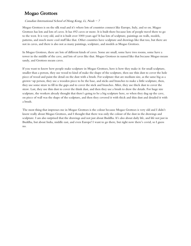# Mogao Grottoes

## Canadian International School of Hong Kong, Li, Noah  $-7$

Mogao Grottoes is on the silk road and it's where lots of countries connect like Europe, Italy, and so on. Magao Grottoes has lots and lots of caves. It has 492 caves or more. It is built there because lots of people travel there to go to the west. It is very old, and it is built over 1000 years ago! It has lots of sculpture, paintings on walls, models, patterns, and much more cool stuff like that. Other countries have sculpture and drawings like that too, but there are not in caves, and there is also not as many paintings, sculpture, and models as Mogao Grottoes.

In Mogao Grottoes, there are lots of different kinds of caves. Some are small, some have two rooms, some have a tower in the middle of the cave, and lots of caves like that. Mogao Grottoes in named like that because Mogao means sandy, and Grottoes means caves.

If you want to know how people make sculpture in Mogao Grottoes, here is how they make it: for small sculpture, smaller than a person, they use wood to kind of make the shape of the sculpture, then use thin dust to cover the hole piece of wood and paint the detail on the dust with a brush. For sculpture that are medium size, as the same big as a grown-up person, they use a wooden piece to be the base, and sticks and branches to make a little sculpture, then, they use some straw to fill in the gaps and to cover the stick and branches. After, they use thick dust to cover the straw. Last, they use thin dust to cover the think dust, and then they use a brush to draw the details. For huge size sculpture, the workers already thought that there's going to be a big sculpture here, so when they dug up the cave, on piece of wall was the shape of the sculpture, and then they covered it with thick and thin dust and detailed it with a brush.

The most thing that impresses me in Mogao Grottoes is the colour because Mogao Grottoes is very old and I didn't know really about Mogao Grottoes, and I thought that there was only the colour of the dust in the drawings and sculpture. I am also surprised that the drawings and not just about Buddha. It's also about daily life, and life not just in Buddha, but about India, middle east, and even Europe! I want to go there, but right now there's covid, so I guess no.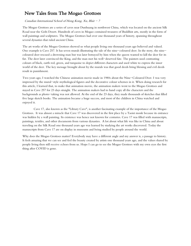# New Tales from The Mogao Grottoes

#### Canadian International School of Hong Kong, Xu, Blair  $-7$

The Mogao Grottoes are a series of caves near Dunhuang in northwest China, which was located on the ancient Silk Road near the Gobi Desert. Hundreds of caves in Mogao contained treasures of Buddhist arts, mostly in the form of wall paintings and sculptures. The Mogao Grottoes had over one thousand years of history, spanning throughout several dynasties that ruled ancient China.

The art works of the Mogao Grottoes showed us what people living one thousand years ago believed and valued. One example is Cave 257. It has seven murals illustrating the tale of the nine-coloured deer. In the story, the ninecoloured deer rescued a drowning man but was later betrayed by him when the queen wanted to kill the deer for its fur. The deer later convinced the King, and the man met his well-deserved fate. The painters used contrasting colours of black, earth red, green, and turquoise to depict different characters and used white to express the inner world of the deer. The key message brought about by the murals was that good deeds bring blessing and evil deeds result in punishment.

Two years ago, I watched the Chinese animation movie made in 1980s about the Nine-Coloured Deer. I was very impressed by the mural-style mythological figures and the decorative colour schemes in it. When doing research for this article, I learned that, to make that animation movie, the animation makers went to the Mogao Grottoes and stayed in Cave 257 for 23 days straight. The animation makers had to hand copy all the characters and the backgrounds as photo-taking was not allowed. At the end of the 23 days, they made thousands of sketches that filled five large sketch books. The animation became a huge success, and most of the children in China watched and enjoyed it.

Cave 17, also known as the "Library Cave", is another fascinating example of the importance of the Mogao Grottoes. It was almost a miracle that Cave 17 was discovered in the first place by a Taoist monk because its entrance was hidden by a wall painting. Its existence was hence not known for centuries. Cave 17 was filled with manuscripts, paintings, textiles, and other documents from various dynasties. A lot about what life was like in China and about traveling on the Silk Road one thousand years ago was learned by studying the art works discovered. Today the manuscripts from Cave 17 are on display in museums and being studied by people around the world.

Why does the Mogao Grottoes matter? Everybody may have a different angle and my answer is, a passage to history. It feels amazing that we can see and feel the beauty created by artists one thousand years ago, and the values shared by people living then still receive echoes from us. Hope I can go to see the Mogao Grottoes with my own eyes the first thing after COVID is gone.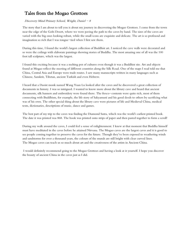# Tales from the Mogao Grottoes

## $Discovery$  Mind Primary School, Wright, Daniel - 8

The story that I am about to tell you is about my journey in discovering the Mogao Grottoes. I come from the town near the edge of the Gobi Desert, where we were paving the path to the caves by hand. The sizes of the caves are varied with the big ones looking robust, while the small icons are exquisite and delicate. The art is so profound and imagination so rich that I was tongue-tied when I first saw them.

During this time, I found the world's largest collection of Buddhist art. I noticed the cave walls were decorated and so were the ceilings with elaborate paintings showing stories of Buddha. The most amazing one of all was the 100 foot tall sculpture, which was the largest.

I found this exciting because it was a melting pot of cultures even though it was a Buddhist site. Art and objects found at Mogao reflect the meeting of different countries along the Silk Road. One of the maps I read told me that China, Central Asia and Europe were trade routes. I saw many manuscripts written in many languages such as Chinese, Sanskrit, Tibetan, ancient Turkish and even Hebrew.

I heard that a Daoist monk named Wang Yuan Lu looked after the caves and he discovered a great collection of documents in history. I was so intrigued. I wanted to know more about the library cave and heard that ancient documents, silk banners and embroidery were found there. The fresco-contents were quite rich, most of them connecting with Buddhism, for example, the life story of Sakyamuni and his good deeds to others by sacrificing what was of his own. The other special thing about the library cave were pictures of life and Medieval China, medical texts, dictionaries, descriptions of music, dance and games.

The best part of my trip to the caves was finding the Diamond Sutra, which was the world's earliest printed book. The date it was printed was 868. The book was printed onto strips of paper and then pasted together to form a scroll!

During my walk around the caves, I could feel a sense of enlightenment. I knew at that moment that Buddha himself must have meditated in the caves before he attained Nirvana. The Mogao caves are the largest caves and it is good to see people coming together to preserve the caves for the future. Though they've been exposed to weathering winds and sandstorms for over a thousand years, the colours of the murals are still bright with clear curved lines. The Mogao caves can teach us so much about art and the creativeness of the artists in Ancient China.

I would definitely recommend going to the Mogao Grottoes and having a look at it yourself. I hope you discover the beauty of ancient China in the caves just as I did.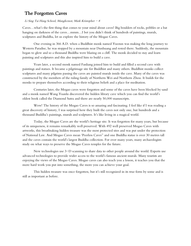## The Forgotten Caves

## Li Sing Tai Hang School, Manglicmot, Mark Kristopher  $-8$

Caves…what's the first thing that comes to your mind about caves? Big boulders of rocks, pebbles or a bat hanging on darkness of the caves…mmm...I bet you didn't think of hundreds of paintings, murals, sculptures and Buddha, let us explore the history of the Mogao Caves.

One evening in 366 A.D. when a Buddhist monk named Yuezun was making the long journey to Western Paradise, he was stopped by a mountain near Dunhuang and rested there. Suddenly, the mountain began to glow and so a thousand Buddha were blazing on a cliff. The monk decided to stay and learn painting and sculptures and this also inspired him to build a cave.

Years later, a second monk named Fanliang joined him to build and filled a second cave with paintings and statues. It became a pilgrimage site for Buddhist and many others. Buddhist monks collect sculptures and many pilgrims passing the caves are painted murals inside the cave. Many of the caves was constructed by the members of the ruling family of Northern Wei and Northern Zhou. It builds for the monks to prepare themselves according to their religious beliefs and a place for meditation.

Centuries later, the Mogao caves were forgotten and some of the caves have been blocked by sand and a monk named Wang Yuanlu discovered the hidden library cave which you can find the world's oldest book called the Diamond Sutra and there are nearly 50,000 manuscripts.

Wow! The history of the Mogao Caves is so amazing and fascinating. I feel like if I was reading a great discovery of history, I was surprised how they built the caves not only one, but hundreds and a thousand Buddha's paintings, murals and sculptures. It's like living in a magical world.

Today, the Mogao Caves are the world's heritage site. It was forgotten for many years, but because of its uniqueness, it remains remarkably well preserved. With 492 well preserved Mogao Caves with artworks, this breathtaking hidden treasure was the most protected sites and was put under the protection of National Law. And Mogao Caves mean 'Peerless Caves" and one Buddha statue is over 30 metres tall and the caves contain the world's largest Buddha collection. For over many years, many archaeologists study on what ways to preserve the Mogao Caves temples for the future.

New technologies use 3-D scanning to share data to other people around the world. Experts use advanced technologies to provide wider access to the world's famous ancient murals. Many tourists are enjoying the views of the Mogao Caves. Mogao caves can also teach you a lesson, it teaches you that the more hard work you put into something, the more you can achieve your goal.

This hidden treasure was once forgotten, but it's still recognized in its true form by some and is still as important as before.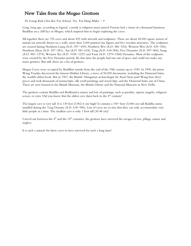# New Tales from the Mogao Grottoes

Po Leung Kuk Choi Kai Yau School, Tse, Yui Hang Makis  $-9$ 

Long, long ago, according to legend, a monk (a religious man) named Yuezun had a vision of a thousand luminous Buddhas on a cliff face in Mogao, which inspired him to begin exploring the caves.

All together there are 735 caves and about 492 with artwork and sculptures. There are about 45,000 square meters of murals (an artwork drawn on a wall), more than 2,000 painted clay figures and five wooden structures. The sculptures are created during Northern Liang (A.D. 397-439), Northern Wei (A.D. 386-534), Western Wei (A.D. 535-556), Northern Zhou (A.D. 557-581)., Sui (A.D. 581–618), Tang (A.D. 618–906), Five Dynasties (A.D. 907–960), Song (A.D. 960-1279), Western Xia (A.D. 1038-1227) and Yuan (A.D. 1279–1368) Dynasties. Most of the sculptures were created by the Five Dynasties period. By that time the people had run out of space and could not make any more grottoes. But still, there are a lot of grottoes.

Mogao Caves were occupied by Buddhist monks from the end of the 19th century up to 1930. In 1900, the priest Wang Yuanku discovered the famous Hidden Library, a trove of 50,000 documents, including the Diamond Sutra, the world's oldest book. But in 1907, the British-Hungarian archaeologist Sir Aurel Stein paid Wang four silver pieces and took thousands of manuscripts, silk scroll paintings and wood slips, and the Diamond Sutra out of China. These are now housed in the British Museum, the British Library and the National Museum in New Delhi.

The grottoes contain Buddha and Bodhisattva statues and lots of paintings, such as paradise, asparas (angels), religious scenes, et cetra. Did you know that the oldest cave dates back to the  $4<sup>th</sup>$  century?

The largest cave is very tall. It is 130 feet (3,962.4 cm) high! It contains a 100-foot (3,048 cm) tall Buddha statue installed during the Tang Dynasty (A.D. 618-906). Lots of caves are so tiny that they can only accommodate very little people at a time. The smallest cave is only 1 foot tall (30.48 cm)!

Carved out between the 4<sup>th</sup> and the 14<sup>th</sup> centuries, the grottoes have survived the ravages of war, pillage, nature and neglect.

It is such a miracle for these caves to have survived for such a long time!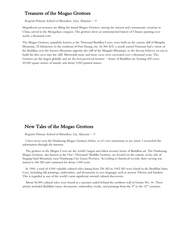## Treasures of the Mogao Grottoes

#### Regents Primary School of Shenzhen, Guo, Xinmiao - 9

Magnificent art treasures are filling the famed Mogao Grottoes, among the ancient and consummate creations in China carved in the Mongolian conquest. The grottoes show an uninterpreted history of Chinese painting over nearly a thousand years.

The Mogao Grottoes, popularly known as the Thousand Buddhas Caves, were built on the eastern cliff of Mingsha Mountain, 25 kilometers to the southeast of Dun Huang city. In 366 A.D. a monk named Yunezun bad a vision of the Buddhas over the Sanwei Mountain opposite the cliff of the Mingsha Mountain, so the devout believer set out to build the first caves into the cliff. Afterwards more and more caves were excavated over a thousand years. The Grottoes are the largest globally and are the best preserved treasure  $-$  house of Buddhist art, housing 492 caves, 45,000 square meters of murals, and about 3,000 painted statues.

## New Tales of the Mogao Grottoes

#### Regents Primary School of Shenzhen, Liu, Xinyuan  $-9$

I have never seen the Dunhuang Mogao Grottoes before, so it's very mysterious in my mind. I researched the information through the internet.

The grottoes in the Mogao Caves are the world's largest and oldest treasure house of Buddhist art. The Dunhuang Mogao Grottoes, also known as the One-Thousand-Buddha Grottoes, are located on the eastern, rocky side of Singing Sand Mountain, near Dunhuang City Gansu Province. According to historical records, their carving was started in 366 AD and continued for about 1,000 years.

In 1900, a total of 4,500 valuable cultural relics dating from 256 AD to 1002 AD were found in the Buddhist Sutra Cave, including silk paintings, embroidery, and documents in rave languages such as ancient Tibetan and Sanskrit. This is regarded as one of the world's most significant oriental cultural discoveries.

About 50,000 cultural relics were found in a sanctum sealed behind the northern wall of Grotto No. 16. These articles included Buddhist sutras, documents, embroidery works, and paintings from the  $4<sup>th</sup>$  to the  $12<sup>th</sup>$  centuries.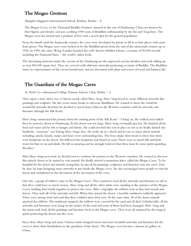## The Mogao Grottoes

#### Shanghai Singapore International School, Krishna, Rohan – 8

The Mogao Caves, or the Thousand Buddha Grottoes, situated in the east of Dunhuang-China are known for their figures and divider canvases, seething 1000 years of Buddhist craftsmanship by the Sui and Tang lines. The Mogao caves has turned into a position of love and a sacred spot for the general population.

From the fourth until the fourteenth century, the caves were developed by priests to fill in as holy places with assets from givers. The Mogao caves were locked in by the Buddhist priests from the end of the nineteenth century up to 1930. In 1900, the cleric Wang Yuanku founded the well-known Hidden Library, a treasure of 50,000 records including the Diamond Sutra  $-$  the world's oldest book.

The fascinating elements inside the caverns of the Dunhuang are the improved caverns dividers and roofs adding up to near 500,000 square feet. They are covered with elaborate artworks portraying accounts of Buddha. The Buddhist sutras are representative of the cavern benefactors, and are decorated with plans and scenes of social and business life.

# The Guardians of the Mogao Caves

## St. Paul's Co-educational College Primary School, Chan, Kalista - 6

Once upon a time, there was a Chinese monk called Shao-long. Shao-long loved to create different artworks like paintings and sculpture. He also wrote many books to advocate Buddhism. He wanted to show the world his wonderful artworks therefore he decided to travel from China to the Western countries with his artworks and literature through the Silk Road.

Shao-long commenced his journey from the starting point of the Silk Road - Chang' an. He walked and walked then he arrived a desert in Dunhuang. As the desert was too large, Shao-long eventually got lost. He finished all his food and water and he felt so hungry and thirsty. He could not find the exit or place to rest so he finally fainted out. Suddenly, "someone" was licking Shao-long's face. He woke up in a shock and he saw so many desert animals including camels, lizards, snakes and foxes were surrounding him. The foxes shake their heads to show him there were footprints on the desert. He followed the footprints and found an oasis! There were so much fish and fresh water for him to eat and drink. He felt so amazing and he strongly believed that there must be some spirits guarding this place.

After Shao-long recovered, he decided not to continue his journey to the Western countries. He wanted to discover this miracle desert so he started to visit around. He finally arrived a mysterious place called the Mogao Caves. To be thankful for the desert and animals saving him, he put all his paintings, sculptures and literature into the caves. Days by days, he kept designing more artworks to put inside the Mogao caves. He also encouraged more people to visit the desert and contributed in the decoration of the decoration of the caves.

One day, a group of robbers came to the Mogao Caves. They wanted to steal all the artworks and literature to sell so that they could have so much money. Shao-long and all the other artists were standing at the entrance of the Mogao Caves, holding their hands together to protect the caves. After a big fight, the robbers won as they had swords and knives. They stole all of the artworks and left. When they passed the desert, a horrible sandstorm suddenly appeared. There were strong wind and sand that they couldn't open their eyes. At the same time, all of the desert animals attacked the robbers. The sandstorm stopped, the robbers were covered by the sand and all died. Unbelievably, all the artworks and literature were lying on the surface of the sand and none of them had been damaged. Shao-long and the artists took back all the paintings and literature back to the Mogao caves. They were all surprised by the magical spirits protecting the desert and the caves.

Since then, Shao-long and many Chinese artists designed more and more beautiful artworks and literature for the caves to show their thankfulness to the guardians of the desert. The Mogao caves became a famous art gallery in China.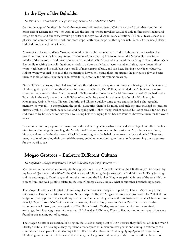## In the Eye of the Beholder

#### St. Paul's Co-educational College Primary School, Lee, Madeleine Sofia - 7

Out in the edge of the desert in the farthermost roads of north-western China lay a small town that stood in the crossroads of Eastern and Western Asia. It was the last stop where travellers would be able to find some shelter and refuge from the sand dunes that would go as far as the eye could see in every direction. This small town served as a physical and commercial crossroad, but more importantly was the portal through which Islam, Christianity, Judaism, and Buddhism would enter China.

A man of small stature, Wang Yuanlu, endured famine in his younger years and had also served as a soldier. He turned to Taoism as his life purpose to make sense of his suffering. He encountered the Mogao Grottoes in the middle of the desert that had been painted with a myriad of Buddhas and appointed himself as guardian to them. One day, while repairing the walls, he found a crack in a door that led to a secret chamber. Inside, were thousands of white cloth bags and in each bag were scrolls of manuscripts, fabrics, and silk flags. Having never been educated, Abbott Wang was unable to read the manuscripts; however, sensing their importance, he retrieved a few and sent them to local Chinese governors in an effort to raise money for his restoration work.

News of these manuscripts traveled word of mouth, and soon two explorers of European heritage made their way to Dunhuang to try and acquire these secret treasures. Frenchman, Paul Pelliot, befriended the Abbott and was given access to the secret chamber. For three weeks, Pelliot worked tirelessly and with breakneck speed. Crouched in the little hole in the wall, under the small flicker of a candle, he peered into thousands of scrolls. His fluency in Mongolian, Arabic, Persian, Tibetan, Sanskrit, and Chinese quickly came to use and as he had a photographic memory, he was able to comprehend the scrolls, categorize them in his mind, and pick the ones that had the greatest historical value. After much negotiation and haggling with Abbot Wang, Pelliot secured his lot of scrolls for 500 taels and traveled by horseback for two years to Peking before bringing them back to Paris to showcase them for the world to see.

In a moment in time, a poor local man survived the desert by selling what he beheld were illegible scrolls to facilitate his mission of serving his temple gods. An educated foreign man pursuing his passion of Asian language, culture, history, and art made the discovery of his lifetime seizing what he beheld were treasures beyond belief. These two men, in spite of pursuing their own self-interests, ended up contributing to humanity by preserving these treasures for the world to see.

## Mogao Grottoes – Embrace Different Cultures

## St. Stephen's College Preparatory School, Cheung, Nga Ting Annette  $-9$

My interest in the Mogao Grottoes, Dunhuang, acclaimed as an "Encyclopaedia of the Middle Ages", is induced by my love of "Journey to the West", the Chinese novel following the journey of the Buddhist monk, Tang Sanzang, and his entourage, to Dunhuang and how the monk and the Monkey King were painted in one of the caves! If one extract from one wall painting relates to the great Chinese classical novel, what about other breathtaking secrets?

The Mogao Grottoes are located in Dunhuang, Gansu Province, People's Republic of China. According to the International Council on Monuments and Sites of April 1987, the Mogao Grottoes comprise 492 cells, 200 Buddhist sculptures, and approximately 45,000 square meters of murals. They witness the civilisation of ancient China for more than 1,000 years from 366 A.D. for several dynasties, like the Tang, Song and Yuan Dynasties, as well as the transcontinental history and propagation of Buddhism in Asia. Trades, arts and communications were freely exchanged in this strategic area of the ancient Silk Road and Chinese, Tibetan, Hebrew and other manuscripts were found in this melting pot of cultures.

The Mogao Grottoes are justified in being on the World Heritage List of 1987 because they fulfil six of the ten World Heritage criteria. For example, they represent a masterpiece of human creative genius and a unique testimony to a civilization over a span of time. Amongst the brilliant works, I like the Dunhuang flying Apsaras, the symbol of Dunhuang murals, most. Their faces and artistic styles change over different periods to embrace the influences of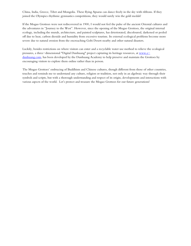China, India, Greece, Tibet and Mongolia. These flying Apsaras can dance freely in the sky with ribbons. If they joined the Olympics rhythmic gymnastics competitions, they would surely win the gold medals!

If the Mogao Grottoes were not rediscovered in 1900, I would not feel the pulse of the ancient Oriental cultures and the adventures in "Journey to the West". However, since the opening of the Mogao Grottoes, the original internal ecology, including the murals, architecture, and painted sculptures, has deteriorated, discoloured, darkened or peeled off due to heat, carbon dioxide and humidity from excessive tourism. Its external ecological problems become more severe due to natural erosion from the encroaching Gobi Desert nearby and other natural disasters.

Luckily, besides restrictions on where visitors can enter and a recyclable water use method to relieve the ecological pressures, a three-dimensional "Digital Dunhuang" project capturing its heritage resources, at [www.e](http://www.e-dunhuang.com/)[dunhuang.com,](http://www.e-dunhuang.com/) has been developed by the Dunhuang Academy to help preserve and maintain the Grottoes by encouraging visitors to explore them online rather than in person.

The Mogao Grottoes' embracing of Buddhism and Chinese cultures, though different from those of other countries, touches and reminds me to understand any culture, religion or tradition, not only in an algebraic way through their symbols and scripts, but with a thorough understanding and respect of its origin, developments and interactions with various aspects of the world. Let's protect and treasure the Mogao Grottoes for our future generations!